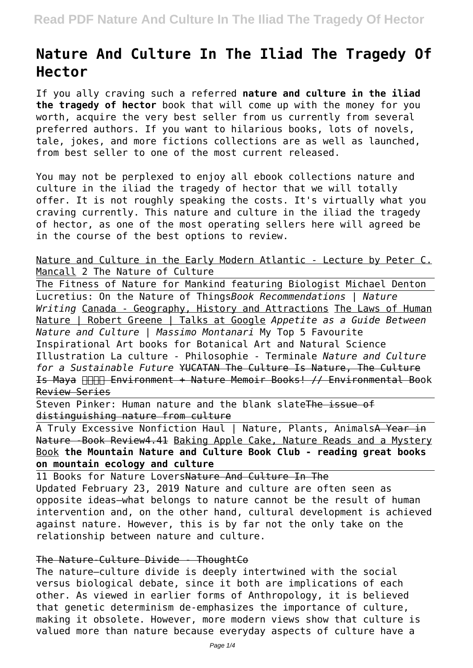# **Nature And Culture In The Iliad The Tragedy Of Hector**

If you ally craving such a referred **nature and culture in the iliad the tragedy of hector** book that will come up with the money for you worth, acquire the very best seller from us currently from several preferred authors. If you want to hilarious books, lots of novels, tale, jokes, and more fictions collections are as well as launched, from best seller to one of the most current released.

You may not be perplexed to enjoy all ebook collections nature and culture in the iliad the tragedy of hector that we will totally offer. It is not roughly speaking the costs. It's virtually what you craving currently. This nature and culture in the iliad the tragedy of hector, as one of the most operating sellers here will agreed be in the course of the best options to review.

Nature and Culture in the Early Modern Atlantic - Lecture by Peter C. Mancall 2 The Nature of Culture

The Fitness of Nature for Mankind featuring Biologist Michael Denton Lucretius: On the Nature of Things*Book Recommendations | Nature Writing* Canada - Geography, History and Attractions The Laws of Human Nature | Robert Greene | Talks at Google *Appetite as a Guide Between Nature and Culture | Massimo Montanari* My Top 5 Favourite Inspirational Art books for Botanical Art and Natural Science Illustration La culture - Philosophie - Terminale *Nature and Culture for a Sustainable Future* YUCATAN The Culture Is Nature, The Culture Is Maya Environment + Nature Memoir Books! // Environmental Book Review Series

Steven Pinker: Human nature and the blank slateThe issue of distinguishing nature from culture

A Truly Excessive Nonfiction Haul | Nature, Plants, AnimalsA Year in Nature - Book Review4.41 Baking Apple Cake, Nature Reads and a Mystery Book **the Mountain Nature and Culture Book Club - reading great books on mountain ecology and culture**

11 Books for Nature LoversNature And Culture In The Updated February 23, 2019 Nature and culture are often seen as opposite ideas—what belongs to nature cannot be the result of human intervention and, on the other hand, cultural development is achieved against nature. However, this is by far not the only take on the relationship between nature and culture.

# The Nature-Culture Divide - ThoughtCo

The nature–culture divide is deeply intertwined with the social versus biological debate, since it both are implications of each other. As viewed in earlier forms of Anthropology, it is believed that genetic determinism de-emphasizes the importance of culture, making it obsolete. However, more modern views show that culture is valued more than nature because everyday aspects of culture have a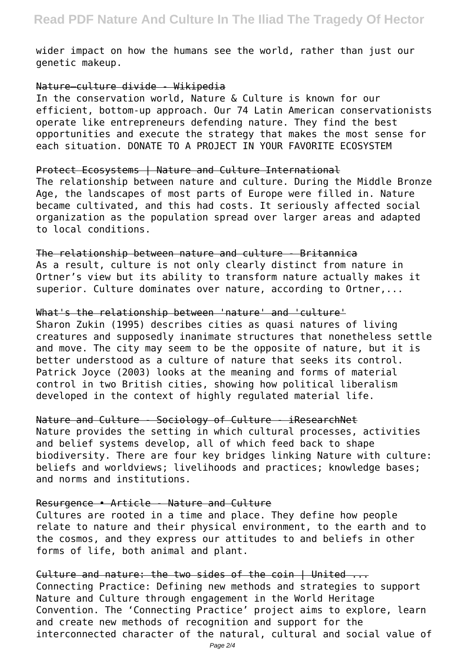wider impact on how the humans see the world, rather than just our genetic makeup.

### Nature–culture divide - Wikipedia

In the conservation world, Nature & Culture is known for our efficient, bottom-up approach. Our 74 Latin American conservationists operate like entrepreneurs defending nature. They find the best opportunities and execute the strategy that makes the most sense for each situation. DONATE TO A PROJECT IN YOUR FAVORITE ECOSYSTEM

#### Protect Ecosystems | Nature and Culture International

The relationship between nature and culture. During the Middle Bronze Age, the landscapes of most parts of Europe were filled in. Nature became cultivated, and this had costs. It seriously affected social organization as the population spread over larger areas and adapted to local conditions.

The relationship between nature and culture - Britannica As a result, culture is not only clearly distinct from nature in Ortner's view but its ability to transform nature actually makes it superior. Culture dominates over nature, according to Ortner....

#### What's the relationship between 'nature' and 'culture'

Sharon Zukin (1995) describes cities as quasi natures of living creatures and supposedly inanimate structures that nonetheless settle and move. The city may seem to be the opposite of nature, but it is better understood as a culture of nature that seeks its control. Patrick Joyce (2003) looks at the meaning and forms of material control in two British cities, showing how political liberalism developed in the context of highly regulated material life.

Nature and Culture - Sociology of Culture - iResearchNet Nature provides the setting in which cultural processes, activities and belief systems develop, all of which feed back to shape biodiversity. There are four key bridges linking Nature with culture: beliefs and worldviews; livelihoods and practices; knowledge bases; and norms and institutions.

## Resurgence • Article - Nature and Culture

Cultures are rooted in a time and place. They define how people relate to nature and their physical environment, to the earth and to the cosmos, and they express our attitudes to and beliefs in other forms of life, both animal and plant.

Culture and nature: the two sides of the coin | United ... Connecting Practice: Defining new methods and strategies to support Nature and Culture through engagement in the World Heritage Convention. The 'Connecting Practice' project aims to explore, learn and create new methods of recognition and support for the interconnected character of the natural, cultural and social value of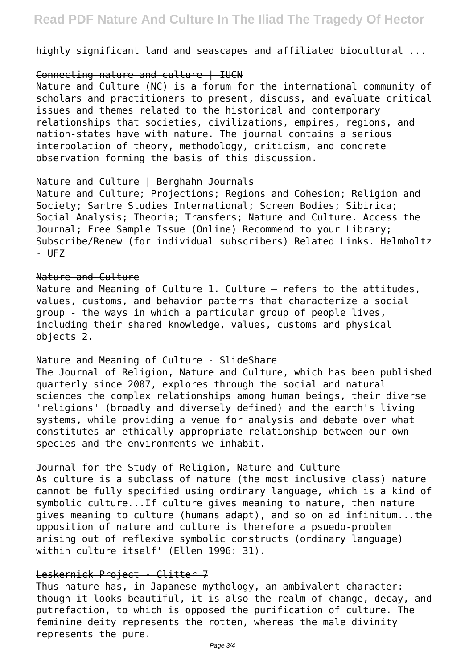highly significant land and seascapes and affiliated biocultural ...

## Connecting nature and culture | IUCN

Nature and Culture (NC) is a forum for the international community of scholars and practitioners to present, discuss, and evaluate critical issues and themes related to the historical and contemporary relationships that societies, civilizations, empires, regions, and nation-states have with nature. The journal contains a serious interpolation of theory, methodology, criticism, and concrete observation forming the basis of this discussion.

### Nature and Culture | Berghahn Journals

Nature and Culture; Projections; Regions and Cohesion; Religion and Society; Sartre Studies International; Screen Bodies; Sibirica; Social Analysis; Theoria; Transfers; Nature and Culture. Access the Journal; Free Sample Issue (Online) Recommend to your Library; Subscribe/Renew (for individual subscribers) Related Links. Helmholtz - UFZ

### Nature and Culture

Nature and Meaning of Culture 1. Culture – refers to the attitudes, values, customs, and behavior patterns that characterize a social group - the ways in which a particular group of people lives, including their shared knowledge, values, customs and physical objects 2.

## Nature and Meaning of Culture - SlideShare

The Journal of Religion, Nature and Culture, which has been published quarterly since 2007, explores through the social and natural sciences the complex relationships among human beings, their diverse 'religions' (broadly and diversely defined) and the earth's living systems, while providing a venue for analysis and debate over what constitutes an ethically appropriate relationship between our own species and the environments we inhabit.

## Journal for the Study of Religion, Nature and Culture

As culture is a subclass of nature (the most inclusive class) nature cannot be fully specified using ordinary language, which is a kind of symbolic culture...If culture gives meaning to nature, then nature gives meaning to culture (humans adapt), and so on ad infinitum...the opposition of nature and culture is therefore a psuedo-problem arising out of reflexive symbolic constructs (ordinary language) within culture itself' (Ellen 1996: 31).

## Leskernick Project - Clitter 7

Thus nature has, in Japanese mythology, an ambivalent character: though it looks beautiful, it is also the realm of change, decay, and putrefaction, to which is opposed the purification of culture. The feminine deity represents the rotten, whereas the male divinity represents the pure.